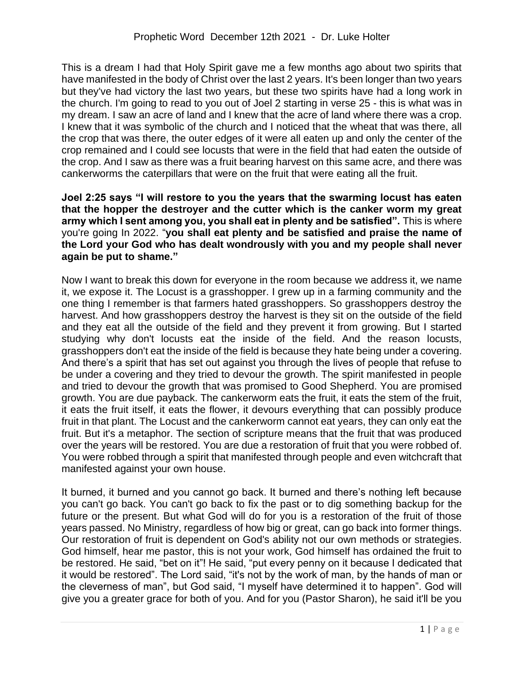This is a dream I had that Holy Spirit gave me a few months ago about two spirits that have manifested in the body of Christ over the last 2 years. It's been longer than two years but they've had victory the last two years, but these two spirits have had a long work in the church. I'm going to read to you out of Joel 2 starting in verse 25 - this is what was in my dream. I saw an acre of land and I knew that the acre of land where there was a crop. I knew that it was symbolic of the church and I noticed that the wheat that was there, all the crop that was there, the outer edges of it were all eaten up and only the center of the crop remained and I could see locusts that were in the field that had eaten the outside of the crop. And I saw as there was a fruit bearing harvest on this same acre, and there was cankerworms the caterpillars that were on the fruit that were eating all the fruit.

**Joel 2:25 says "I will restore to you the years that the swarming locust has eaten that the hopper the destroyer and the cutter which is the canker worm my great army which I sent among you, you shall eat in plenty and be satisfied".** This is where you're going In 2022. "**you shall eat plenty and be satisfied and praise the name of the Lord your God who has dealt wondrously with you and my people shall never again be put to shame."**

Now I want to break this down for everyone in the room because we address it, we name it, we expose it. The Locust is a grasshopper. I grew up in a farming community and the one thing I remember is that farmers hated grasshoppers. So grasshoppers destroy the harvest. And how grasshoppers destroy the harvest is they sit on the outside of the field and they eat all the outside of the field and they prevent it from growing. But I started studying why don't locusts eat the inside of the field. And the reason locusts, grasshoppers don't eat the inside of the field is because they hate being under a covering. And there's a spirit that has set out against you through the lives of people that refuse to be under a covering and they tried to devour the growth. The spirit manifested in people and tried to devour the growth that was promised to Good Shepherd. You are promised growth. You are due payback. The cankerworm eats the fruit, it eats the stem of the fruit, it eats the fruit itself, it eats the flower, it devours everything that can possibly produce fruit in that plant. The Locust and the cankerworm cannot eat years, they can only eat the fruit. But it's a metaphor. The section of scripture means that the fruit that was produced over the years will be restored. You are due a restoration of fruit that you were robbed of. You were robbed through a spirit that manifested through people and even witchcraft that manifested against your own house.

It burned, it burned and you cannot go back. It burned and there's nothing left because you can't go back. You can't go back to fix the past or to dig something backup for the future or the present. But what God will do for you is a restoration of the fruit of those years passed. No Ministry, regardless of how big or great, can go back into former things. Our restoration of fruit is dependent on God's ability not our own methods or strategies. God himself, hear me pastor, this is not your work, God himself has ordained the fruit to be restored. He said, "bet on it"! He said, "put every penny on it because I dedicated that it would be restored". The Lord said, "it's not by the work of man, by the hands of man or the cleverness of man", but God said, "I myself have determined it to happen". God will give you a greater grace for both of you. And for you (Pastor Sharon), he said it'll be you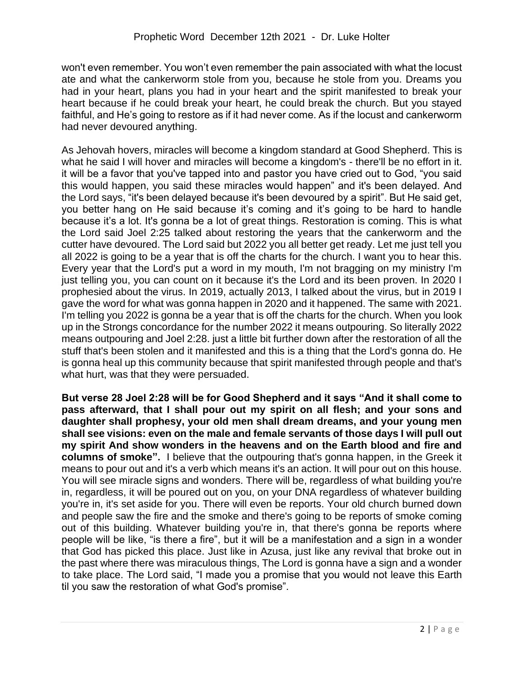won't even remember. You won't even remember the pain associated with what the locust ate and what the cankerworm stole from you, because he stole from you. Dreams you had in your heart, plans you had in your heart and the spirit manifested to break your heart because if he could break your heart, he could break the church. But you stayed faithful, and He's going to restore as if it had never come. As if the locust and cankerworm had never devoured anything.

As Jehovah hovers, miracles will become a kingdom standard at Good Shepherd. This is what he said I will hover and miracles will become a kingdom's - there'll be no effort in it. it will be a favor that you've tapped into and pastor you have cried out to God, "you said this would happen, you said these miracles would happen" and it's been delayed. And the Lord says, "it's been delayed because it's been devoured by a spirit". But He said get, you better hang on He said because it's coming and it's going to be hard to handle because it's a lot. It's gonna be a lot of great things. Restoration is coming. This is what the Lord said Joel 2:25 talked about restoring the years that the cankerworm and the cutter have devoured. The Lord said but 2022 you all better get ready. Let me just tell you all 2022 is going to be a year that is off the charts for the church. I want you to hear this. Every year that the Lord's put a word in my mouth, I'm not bragging on my ministry I'm just telling you, you can count on it because it's the Lord and its been proven. In 2020 I prophesied about the virus. In 2019, actually 2013, I talked about the virus, but in 2019 I gave the word for what was gonna happen in 2020 and it happened. The same with 2021. I'm telling you 2022 is gonna be a year that is off the charts for the church. When you look up in the Strongs concordance for the number 2022 it means outpouring. So literally 2022 means outpouring and Joel 2:28. just a little bit further down after the restoration of all the stuff that's been stolen and it manifested and this is a thing that the Lord's gonna do. He is gonna heal up this community because that spirit manifested through people and that's what hurt, was that they were persuaded.

**But verse 28 Joel 2:28 will be for Good Shepherd and it says "And it shall come to pass afterward, that I shall pour out my spirit on all flesh; and your sons and daughter shall prophesy, your old men shall dream dreams, and your young men shall see visions: even on the male and female servants of those days I will pull out my spirit And show wonders in the heavens and on the Earth blood and fire and columns of smoke".** I believe that the outpouring that's gonna happen, in the Greek it means to pour out and it's a verb which means it's an action. It will pour out on this house. You will see miracle signs and wonders. There will be, regardless of what building you're in, regardless, it will be poured out on you, on your DNA regardless of whatever building you're in, it's set aside for you. There will even be reports. Your old church burned down and people saw the fire and the smoke and there's going to be reports of smoke coming out of this building. Whatever building you're in, that there's gonna be reports where people will be like, "is there a fire", but it will be a manifestation and a sign in a wonder that God has picked this place. Just like in Azusa, just like any revival that broke out in the past where there was miraculous things, The Lord is gonna have a sign and a wonder to take place. The Lord said, "I made you a promise that you would not leave this Earth til you saw the restoration of what God's promise".